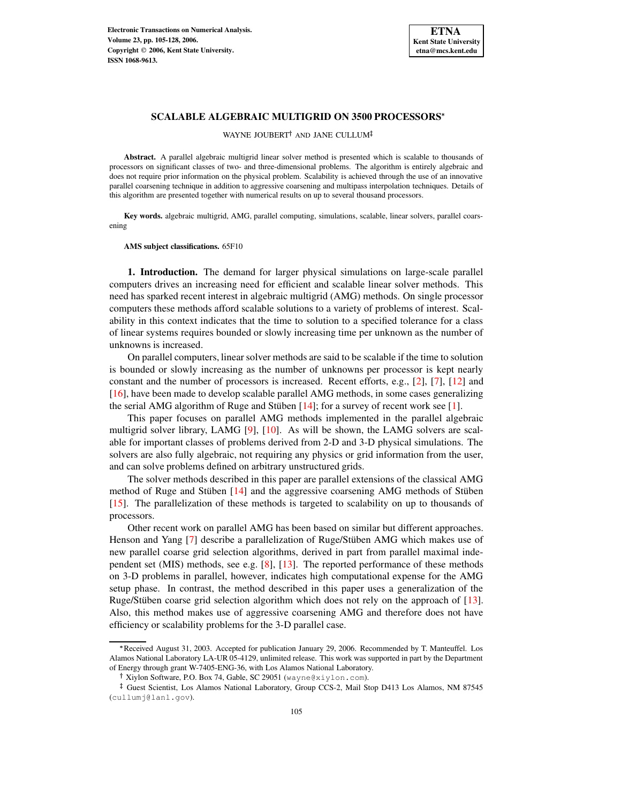

## **SCALABLE ALGEBRAIC MULTIGRID ON 3500 PROCESSORS**

WAYNE JOUBERT<sup>†</sup> AND JANE CULLUM

**Abstract.** A parallel algebraic multigrid linear solver method is presented which is scalable to thousands of processors on significant classes of two- and three-dimensional problems. The algorithm is entirely algebraic and does not require prior information on the physical problem. Scalability is achieved through the use of an innovative parallel coarsening technique in addition to aggressive coarsening and multipass interpolation techniques. Details of this algorithm are presented together with numerical results on up to several thousand processors.

**Key words.** algebraic multigrid, AMG, parallel computing, simulations, scalable, linear solvers, parallel coarsening

## **AMS subject classifications.** 65F10

**1. Introduction.** The demand for larger physical simulations on large-scale parallel computers drives an increasing need for efficient and scalable linear solver methods. This need has sparked recent interest in algebraic multigrid (AMG) methods. On single processor computers these methods afford scalable solutions to a variety of problems of interest. Scalability in this context indicates that the time to solution to a specified tolerance for a class of linear systems requires bounded or slowly increasing time per unknown as the number of unknowns is increased.

On parallel computers, linear solver methods are said to be scalable if the time to solution is bounded or slowly increasing as the number of unknowns per processor is kept nearly constant and the number of processors is increased. Recent efforts, e.g., [\[2\]](#page-23-0), [\[7\]](#page-23-1), [\[12\]](#page-23-2) and [\[16\]](#page-23-3), have been made to develop scalable parallel AMG methods, in some cases generalizing the serial AMG algorithm of Ruge and Stüben  $[14]$ ; for a survey of recent work see [\[1\]](#page-23-5).

This paper focuses on parallel AMG methods implemented in the parallel algebraic multigrid solver library, LAMG [\[9\]](#page-23-6), [\[10\]](#page-23-7). As will be shown, the LAMG solvers are scalable for important classes of problems derived from 2-D and 3-D physical simulations. The solvers are also fully algebraic, not requiring any physics or grid information from the user, and can solve problems defined on arbitrary unstructured grids.

The solver methods described in this paper are parallel extensions of the classical AMG method of Ruge and Stüben  $[14]$  and the aggressive coarsening AMG methods of Stüben [\[15\]](#page-23-8). The parallelization of these methods is targeted to scalability on up to thousands of processors.

Other recent work on parallel AMG has been based on similar but different approaches. Henson and Yang [\[7\]](#page-23-1) describe a parallelization of Ruge/Stüben AMG which makes use of new parallel coarse grid selection algorithms, derived in part from parallel maximal independent set (MIS) methods, see e.g. [\[8\]](#page-23-9), [\[13\]](#page-23-10). The reported performance of these methods on 3-D problems in parallel, however, indicates high computational expense for the AMG setup phase. In contrast, the method described in this paper uses a generalization of the Ruge/Stüben coarse grid selection algorithm which does not rely on the approach of [\[13\]](#page-23-10). Also, this method makes use of aggressive coarsening AMG and therefore does not have efficiency or scalability problems for the 3-D parallel case.

<sup>\*</sup> Received August 31, 2003. Accepted for publication January 29, 2006. Recommended by T. Manteuffel. Los Alamos National Laboratory LA-UR 05-4129, unlimited release. This work was supported in part by the Department of Energy through grant W-7405-ENG-36, with Los Alamos National Laboratory.

Xiylon Software, P.O. Box 74, Gable, SC 29051 (wayne@xiylon.com).

<sup>&</sup>lt;sup>‡</sup> Guest Scientist, Los Alamos National Laboratory, Group CCS-2, Mail Stop D413 Los Alamos, NM 87545 (cullumj@lanl.gov).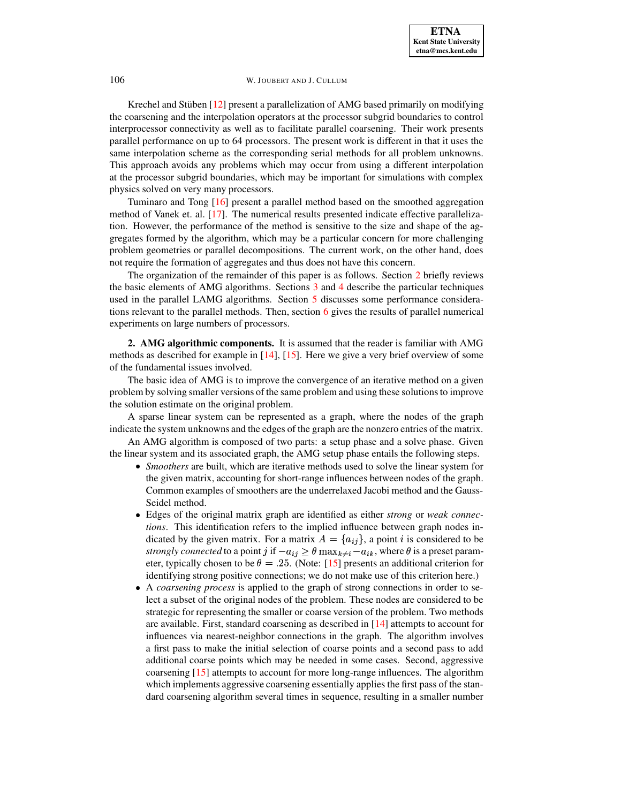Krechel and Stüben  $[12]$  present a parallelization of AMG based primarily on modifying the coarsening and the interpolation operators at the processor subgrid boundaries to control interprocessor connectivity as well as to facilitate parallel coarsening. Their work presents parallel performance on up to 64 processors. The present work is different in that it uses the same interpolation scheme as the corresponding serial methods for all problem unknowns. This approach avoids any problems which may occur from using a different interpolation at the processor subgrid boundaries, which may be important for simulations with complex physics solved on very many processors.

Tuminaro and Tong [\[16\]](#page-23-3) present a parallel method based on the smoothed aggregation method of Vanek et. al. [\[17\]](#page-23-11). The numerical results presented indicate effective parallelization. However, the performance of the method is sensitive to the size and shape of the aggregates formed by the algorithm, which may be a particular concern for more challenging problem geometries or parallel decompositions. The current work, on the other hand, does not require the formation of aggregates and thus does not have this concern.

The organization of the remainder of this paper is as follows. Section [2](#page-1-0) briefly reviews the basic elements of AMG algorithms. Sections [3](#page-2-0) and [4](#page-5-0) describe the particular techniques used in the parallel LAMG algorithms. Section [5](#page-7-0) discusses some performance considerations relevant to the parallel methods. Then, section [6](#page-13-0) gives the results of parallel numerical experiments on large numbers of processors.

<span id="page-1-0"></span>**2. AMG algorithmic components.** It is assumed that the reader is familiar with AMG methods as described for example in [\[14\]](#page-23-4), [\[15\]](#page-23-8). Here we give a very brief overview of some of the fundamental issues involved.

The basic idea of AMG is to improve the convergence of an iterative method on a given problem by solving smaller versions of the same problem and using these solutionsto improve the solution estimate on the original problem.

A sparse linear system can be represented as a graph, where the nodes of the graph indicate the system unknowns and the edges of the graph are the nonzero entries of the matrix.

An AMG algorithm is composed of two parts: a setup phase and a solve phase. Given the linear system and its associated graph, the AMG setup phase entails the following steps.

- *Smoothers* are built, which are iterative methods used to solve the linear system for the given matrix, accounting for short-range influences between nodes of the graph. Common examples of smoothers are the underrelaxed Jacobi method and the Gauss-Seidel method.
- Edges of the original matrix graph are identified as either *strong* or *weak connections*. This identification refers to the implied influence between graph nodes indicated by the given matrix. For a matrix  $A = \{a_{ij}\}\$ , a point i is considered to be strongly connected to a point j if  $-a_{ij} \geq \theta \max_{k \neq i} a_{ik}$ , where  $\theta$  is a preset parameter, typically chosen to be  $\theta = .25$ . (Note: [\[15\]](#page-23-8) presents an additional criterion for identifying strong positive connections; we do not make use of this criterion here.)
- A *coarsening process* is applied to the graph of strong connections in order to select a subset of the original nodes of the problem. These nodes are considered to be strategic for representing the smaller or coarse version of the problem. Two methods are available. First, standard coarsening as described in [\[14\]](#page-23-4) attempts to account for influences via nearest-neighbor connections in the graph. The algorithm involves a first pass to make the initial selection of coarse points and a second pass to add additional coarse points which may be needed in some cases. Second, aggressive coarsening [\[15\]](#page-23-8) attempts to account for more long-range influences. The algorithm which implements aggressive coarsening essentially applies the first pass of the standard coarsening algorithm several times in sequence, resulting in a smaller number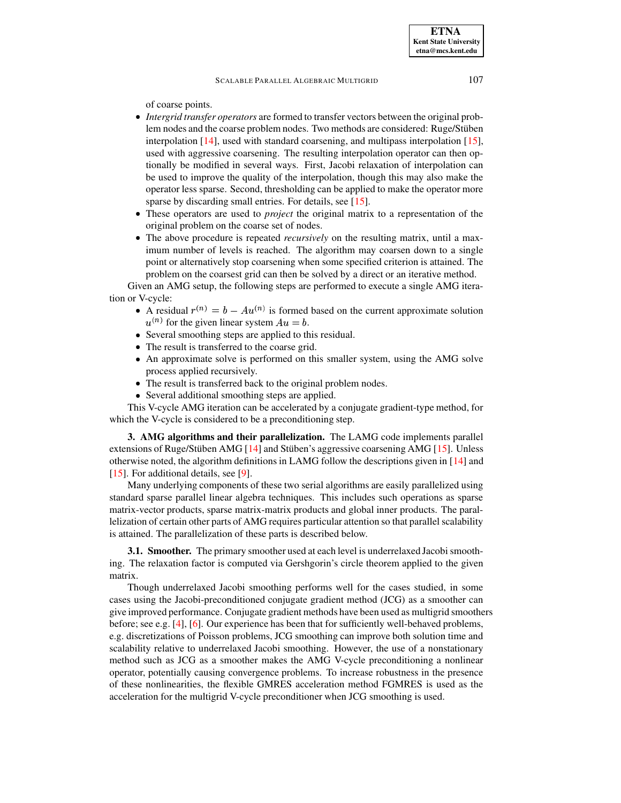of coarse points.

- *Intergrid transfer operators* are formed to transfer vectors between the original problem nodes and the coarse problem nodes. Two methods are considered: Ruge/Stüben interpolation [\[14\]](#page-23-4), used with standard coarsening, and multipass interpolation [\[15\]](#page-23-8), used with aggressive coarsening. The resulting interpolation operator can then optionally be modified in several ways. First, Jacobi relaxation of interpolation can be used to improve the quality of the interpolation, though this may also make the operator less sparse. Second, thresholding can be applied to make the operator more sparse by discarding small entries. For details, see [\[15\]](#page-23-8).
- These operators are used to *project* the original matrix to a representation of the original problem on the coarse set of nodes.
- The above procedure is repeated *recursively* on the resulting matrix, until a maximum number of levels is reached. The algorithm may coarsen down to a single point or alternatively stop coarsening when some specified criterion is attained. The problem on the coarsest grid can then be solved by a direct or an iterative method.

Given an AMG setup, the following steps are performed to execute a single AMG iteration or V-cycle:

- A residual  $r^{(n)} = b Au^{(n)}$  is formed based on the current approximate solution  $u^{(n)}$  for the given linear system  $Au = b$ .
- Several smoothing steps are applied to this residual.
- The result is transferred to the coarse grid.
- An approximate solve is performed on this smaller system, using the AMG solve process applied recursively.
- The result is transferred back to the original problem nodes.
- Several additional smoothing steps are applied.

This V-cycle AMG iteration can be accelerated by a conjugate gradient-type method, for which the V-cycle is considered to be a preconditioning step.

<span id="page-2-0"></span>**3. AMG algorithms and their parallelization.** The LAMG code implements parallel extensions of Ruge/Stüben AMG  $[14]$  and Stüben's aggressive coarsening AMG  $[15]$ . Unless otherwise noted, the algorithm definitions in LAMG follow the descriptions given in [\[14\]](#page-23-4) and [\[15\]](#page-23-8). For additional details, see [\[9\]](#page-23-6).

Many underlying components of these two serial algorithms are easily parallelized using standard sparse parallel linear algebra techniques. This includes such operations as sparse matrix-vector products, sparse matrix-matrix products and global inner products. The parallelization of certain other parts of AMG requires particular attention so that parallel scalability is attained. The parallelization of these parts is described below.

**3.1. Smoother.** The primary smoother used at each level is underrelaxed Jacobi smoothing. The relaxation factor is computed via Gershgorin's circle theorem applied to the given matrix.

Though underrelaxed Jacobi smoothing performs well for the cases studied, in some cases using the Jacobi-preconditioned conjugate gradient method (JCG) as a smoother can give improved performance. Conjugate gradient methods have been used as multigrid smoothers before; see e.g. [\[4\]](#page-23-12), [\[6\]](#page-23-13). Our experience has been that for sufficiently well-behaved problems, e.g. discretizations of Poisson problems, JCG smoothing can improve both solution time and scalability relative to underrelaxed Jacobi smoothing. However, the use of a nonstationary method such as JCG as a smoother makes the AMG V-cycle preconditioning a nonlinear operator, potentially causing convergence problems. To increase robustness in the presence of these nonlinearities, the flexible GMRES acceleration method FGMRES is used as the acceleration for the multigrid V-cycle preconditioner when JCG smoothing is used.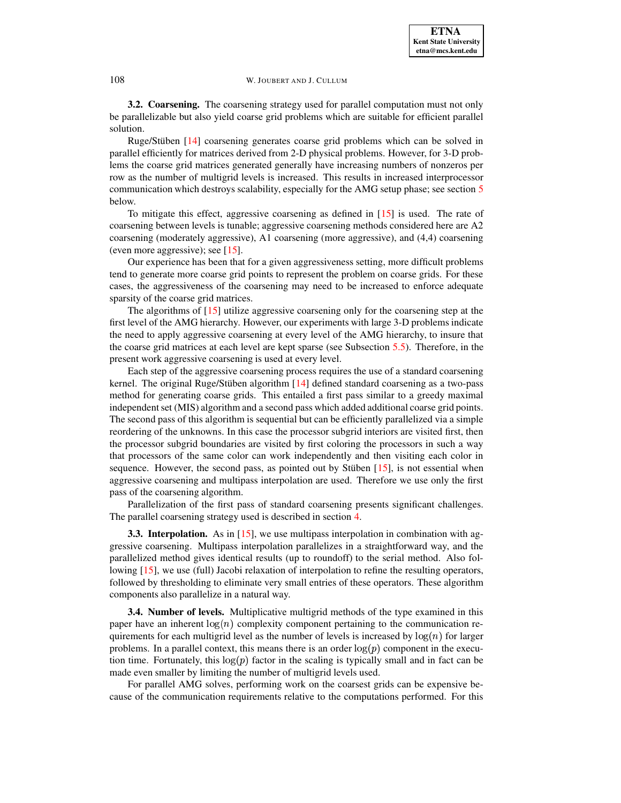**3.2. Coarsening.** The coarsening strategy used for parallel computation must not only be parallelizable but also yield coarse grid problems which are suitable for efficient parallel solution.

Ruge/Stüben  $[14]$  coarsening generates coarse grid problems which can be solved in parallel efficiently for matrices derived from 2-D physical problems. However, for 3-D problems the coarse grid matrices generated generally have increasing numbers of nonzeros per row as the number of multigrid levels is increased. This results in increased interprocessor communication which destroys scalability, especially for the AMG setup phase; see section [5](#page-7-0) below.

To mitigate this effect, aggressive coarsening as defined in [\[15\]](#page-23-8) is used. The rate of coarsening between levels is tunable; aggressive coarsening methods considered here are A2 coarsening (moderately aggressive), A1 coarsening (more aggressive), and (4,4) coarsening (even more aggressive); see [\[15\]](#page-23-8).

Our experience has been that for a given aggressiveness setting, more difficult problems tend to generate more coarse grid points to represent the problem on coarse grids. For these cases, the aggressiveness of the coarsening may need to be increased to enforce adequate sparsity of the coarse grid matrices.

The algorithms of [\[15\]](#page-23-8) utilize aggressive coarsening only for the coarsening step at the first level of the AMG hierarchy. However, our experiments with large 3-D problems indicate the need to apply aggressive coarsening at every level of the AMG hierarchy, to insure that the coarse grid matrices at each level are kept sparse (see Subsection [5.5\)](#page-11-0). Therefore, in the present work aggressive coarsening is used at every level.

Each step of the aggressive coarsening process requires the use of a standard coarsening kernel. The original Ruge/Stüben algorithm  $[14]$  defined standard coarsening as a two-pass method for generating coarse grids. This entailed a first pass similar to a greedy maximal independent set (MIS) algorithm and a second pass which added additional coarse grid points. The second pass of this algorithm is sequential but can be efficiently parallelized via a simple reordering of the unknowns. In this case the processor subgrid interiors are visited first, then the processor subgrid boundaries are visited by first coloring the processors in such a way that processors of the same color can work independently and then visiting each color in sequence. However, the second pass, as pointed out by Stüben  $[15]$ , is not essential when aggressive coarsening and multipass interpolation are used. Therefore we use only the first pass of the coarsening algorithm.

Parallelization of the first pass of standard coarsening presents significant challenges. The parallel coarsening strategy used is described in section [4.](#page-5-0)

**3.3. Interpolation.** As in [\[15\]](#page-23-8), we use multipass interpolation in combination with aggressive coarsening. Multipass interpolation parallelizes in a straightforward way, and the parallelized method gives identical results (up to roundoff) to the serial method. Also fol-lowing [\[15\]](#page-23-8), we use (full) Jacobi relaxation of interpolation to refine the resulting operators, followed by thresholding to eliminate very small entries of these operators. These algorithm components also parallelize in a natural way.

**3.4. Number of levels.** Multiplicative multigrid methods of the type examined in this paper have an inherent  $log(n)$  complexity component pertaining to the communication requirements for each multigrid level as the number of levels is increased by  $log(n)$  for larger problems. In a parallel context, this means there is an order  $log(p)$  component in the execution time. Fortunately, this  $log(p)$  factor in the scaling is typically small and in fact can be made even smaller by limiting the number of multigrid levels used.

For parallel AMG solves, performing work on the coarsest grids can be expensive because of the communication requirements relative to the computations performed. For this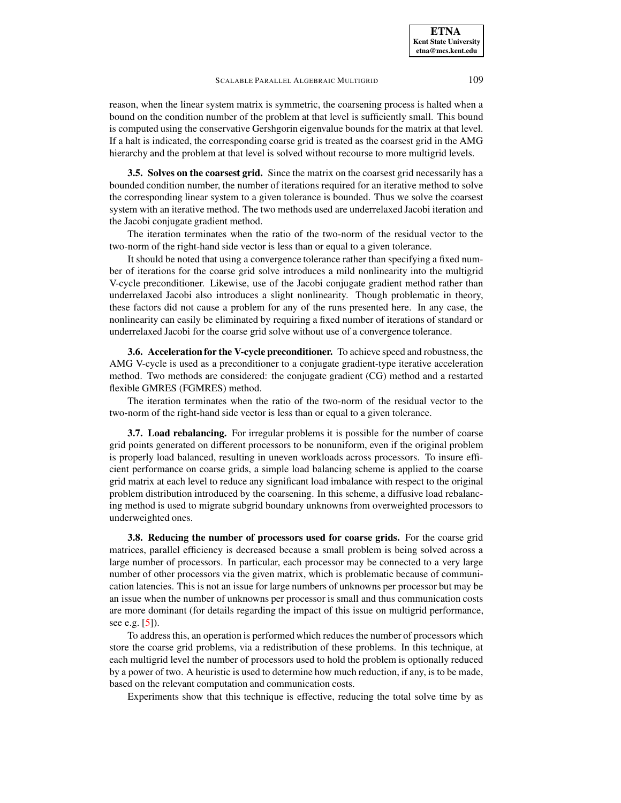reason, when the linear system matrix is symmetric, the coarsening process is halted when a bound on the condition number of the problem at that level is sufficiently small. This bound is computed using the conservative Gershgorin eigenvalue bounds for the matrix at that level. If a halt is indicated, the corresponding coarse grid is treated as the coarsest grid in the AMG hierarchy and the problem at that level is solved without recourse to more multigrid levels.

**3.5. Solves on the coarsest grid.** Since the matrix on the coarsest grid necessarily has a bounded condition number, the number of iterations required for an iterative method to solve the corresponding linear system to a given tolerance is bounded. Thus we solve the coarsest system with an iterative method. The two methods used are underrelaxed Jacobi iteration and the Jacobi conjugate gradient method.

The iteration terminates when the ratio of the two-norm of the residual vector to the two-norm of the right-hand side vector is less than or equal to a given tolerance.

It should be noted that using a convergence tolerance rather than specifying a fixed number of iterations for the coarse grid solve introduces a mild nonlinearity into the multigrid V-cycle preconditioner. Likewise, use of the Jacobi conjugate gradient method rather than underrelaxed Jacobi also introduces a slight nonlinearity. Though problematic in theory, these factors did not cause a problem for any of the runs presented here. In any case, the nonlinearity can easily be eliminated by requiring a fixed number of iterations of standard or underrelaxed Jacobi for the coarse grid solve without use of a convergence tolerance.

**3.6. Acceleration for the V-cycle preconditioner.** To achieve speed and robustness, the AMG V-cycle is used as a preconditioner to a conjugate gradient-type iterative acceleration method. Two methods are considered: the conjugate gradient (CG) method and a restarted flexible GMRES (FGMRES) method.

The iteration terminates when the ratio of the two-norm of the residual vector to the two-norm of the right-hand side vector is less than or equal to a given tolerance.

**3.7. Load rebalancing.** For irregular problems it is possible for the number of coarse grid points generated on different processors to be nonuniform, even if the original problem is properly load balanced, resulting in uneven workloads across processors. To insure efficient performance on coarse grids, a simple load balancing scheme is applied to the coarse grid matrix at each level to reduce any significant load imbalance with respect to the original problem distribution introduced by the coarsening. In this scheme, a diffusive load rebalancing method is used to migrate subgrid boundary unknowns from overweighted processors to underweighted ones.

**3.8. Reducing the number of processors used for coarse grids.** For the coarse grid matrices, parallel efficiency is decreased because a small problem is being solved across a large number of processors. In particular, each processor may be connected to a very large number of other processors via the given matrix, which is problematic because of communication latencies. This is not an issue for large numbers of unknowns per processor but may be an issue when the number of unknowns per processor is small and thus communication costs are more dominant (for details regarding the impact of this issue on multigrid performance, see e.g. [\[5\]](#page-23-14)).

To address this, an operation is performed which reduces the number of processors which store the coarse grid problems, via a redistribution of these problems. In this technique, at each multigrid level the number of processors used to hold the problem is optionally reduced by a power of two. A heuristic is used to determine how much reduction, if any, is to be made, based on the relevant computation and communication costs.

Experiments show that this technique is effective, reducing the total solve time by as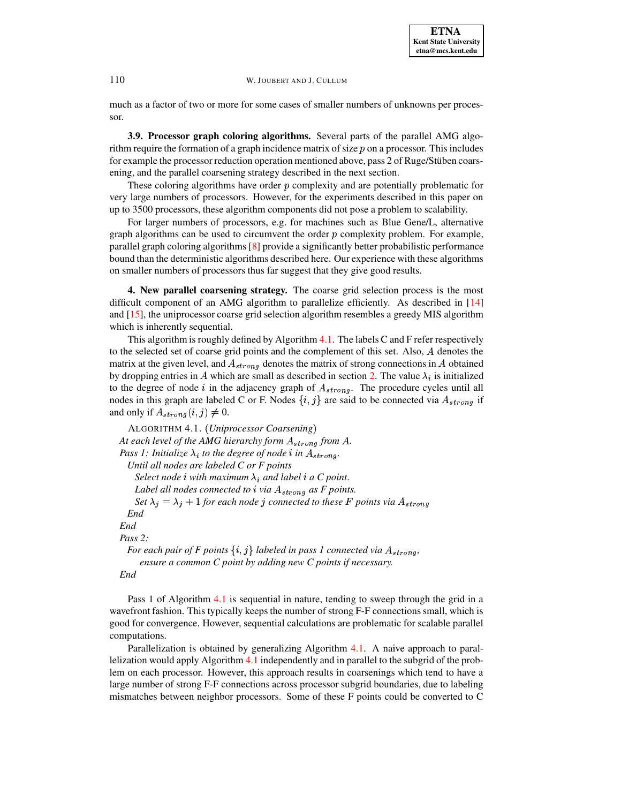much as a factor of two or more for some cases of smaller numbers of unknowns per processor.

**3.9. Processor graph coloring algorithms.** Several parts of the parallel AMG algorithm require the formation of a graph incidence matrix of size  $p$  on a processor. This includes for example the processor reduction operation mentioned above, pass 2 of Ruge/Stüben coarsening, and the parallel coarsening strategy described in the next section.

These coloring algorithms have order  $p$  complexity and are potentially problematic for very large numbers of processors. However, for the experiments described in this paper on up to 3500 processors, these algorithm components did not pose a problem to scalability.

For larger numbers of processors, e.g. for machines such as Blue Gene/L, alternative graph algorithms can be used to circumvent the order  $p$  complexity problem. For example, parallel graph coloring algorithms [\[8\]](#page-23-9) provide a significantly better probabilistic performance bound than the deterministic algorithms described here. Our experience with these algorithms on smaller numbers of processors thus far suggest that they give good results.

<span id="page-5-0"></span>**4. New parallel coarsening strategy.** The coarse grid selection process is the most difficult component of an AMG algorithm to parallelize efficiently. As described in [\[14\]](#page-23-4) and [\[15\]](#page-23-8), the uniprocessor coarse grid selection algorithm resembles a greedy MIS algorithm which is inherently sequential.

This algorithm is roughly defined by Algorithm  $4.1$ . The labels C and F refer respectively to the selected set of coarse grid points and the complement of this set. Also, denotes the matrix at the given level, and  $A_{strong}$  denotes the matrix of strong connections in A obtained by dropping entries in A which are small as described in section [2.](#page-1-0) The value  $\lambda_i$  is initialized to the degree of node  $i$  in the adjacency graph of  $A_{strong}$ . The procedure cycles until all nodes in this graph are labeled C or F. Nodes  $\{i, j\}$  are said to be connected via  $A_{strong}$  if and only if  $A_{strong}(i, j) \neq 0$ .

```
ALGORITHM 4.1. (Uniprocessor Coarsening)
At each level of the AMG hierarchy form A_{strong} from A.
Pass 1: Initialize \lambda_i to the degree of node i in A_{strong}.
  Until all nodes are labeled C or F points
    Select node i with maximum \lambda_i and label i a C point.
   Label all nodes connected to i via A_{strong} as F points.
    Set \lambda_j = \lambda_j + 1 for each node j connected to these F points via A_{strong}End
End
Pass 2:
  For each pair of F points \{i,j\} labeled in pass 1 connected via A_{strong},
     ensure a common C point by adding new C points if necessary.
End
```
Pass 1 of Algorithm [4.1](#page-5-1) is sequential in nature, tending to sweep through the grid in a wavefront fashion. This typically keeps the number of strong F-F connections small, which is good for convergence. However, sequential calculations are problematic for scalable parallel computations.

Parallelization is obtained by generalizing Algorithm [4.1.](#page-5-1) A naive approach to parallelization would apply Algorithm [4.1](#page-5-1) independently and in parallel to the subgrid of the problem on each processor. However, this approach results in coarsenings which tend to have a large number of strong F-F connections across processor subgrid boundaries, due to labeling mismatches between neighbor processors. Some of these F points could be converted to C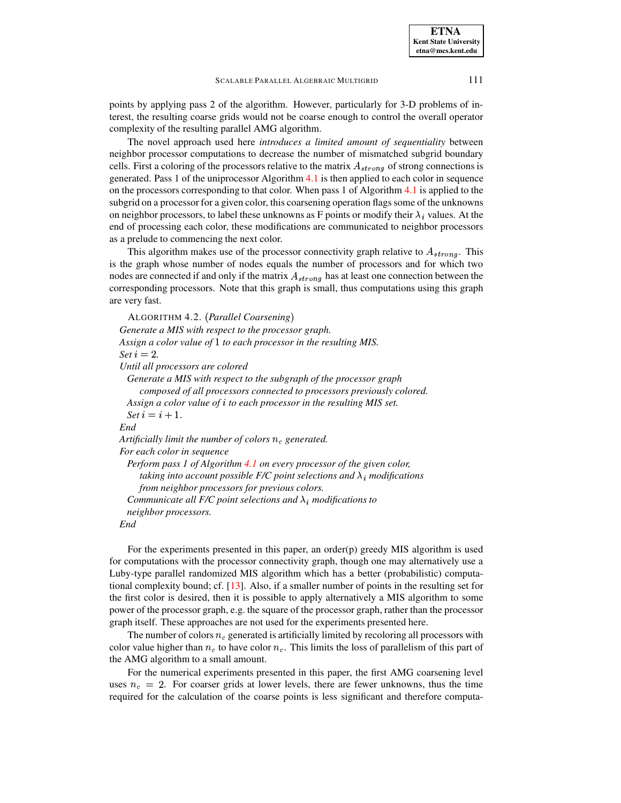points by applying pass 2 of the algorithm. However, particularly for 3-D problems of interest, the resulting coarse grids would not be coarse enough to control the overall operator complexity of the resulting parallel AMG algorithm.

The novel approach used here *introduces a limited amount of sequentiality* between neighbor processor computations to decrease the number of mismatched subgrid boundary cells. First a coloring of the processors relative to the matrix  $A_{strong}$  of strong connections is generated. Pass 1 of the uniprocessor Algorithm [4.1](#page-5-1) is then applied to each color in sequence on the processors corresponding to that color. When pass 1 of Algorithm [4.1](#page-5-1) is applied to the subgrid on a processor for a given color, this coarsening operation flags some of the unknowns on neighbor processors, to label these unknowns as F points or modify their  $\lambda_i$  values. At the end of processing each color, these modifications are communicated to neighbor processors as a prelude to commencing the next color.

This algorithm makes use of the processor connectivity graph relative to  $A_{strong}$ . This is the graph whose number of nodes equals the number of processors and for which two nodes are connected if and only if the matrix  $A_{strong}$  has at least one connection between the corresponding processors. Note that this graph is small, thus computations using this graph are very fast.

```
ALGORITHM 4.2. (Parallel Coarsening)
Generate a MIS with respect to the processor graph.
Assign a color value of 1 to each processor in the resulting MIS.
Set i = 2.Until all processors are colored
 Generate a MIS with respect to the subgraph of the processor graph
     composed of all processors connected to processors previously colored.
 Assign a color value of  to each processor in the resulting MIS set.
  Set i = i + 1.End
Artificially limit the number of colors n_c generated.
For each color in sequence
 Perform pass 1 of Algorithm 4.1 on every processor of the given color,
     taking into account possible F/C point selections and \lambda_i modifications
    from neighbor processors for previous colors.
  Communicate all F/C point selections and \lambda_i modifications to
 neighbor processors.
End
```
For the experiments presented in this paper, an order(p) greedy MIS algorithm is used for computations with the processor connectivity graph, though one may alternatively use a Luby-type parallel randomized MIS algorithm which has a better (probabilistic) computational complexity bound; cf. [\[13\]](#page-23-10). Also, if a smaller number of points in the resulting set for the first color is desired, then it is possible to apply alternatively a MIS algorithm to some power of the processor graph, e.g. the square of the processor graph, rather than the processor graph itself. These approaches are not used for the experiments presented here.

The number of colors  $n_c$  generated is artificially limited by recoloring all processors with color value higher than  $n_c$  to have color  $n_c$ . This limits the loss of parallelism of this part of the AMG algorithm to a small amount.

For the numerical experiments presented in this paper, the first AMG coarsening level uses  $n_c = 2$ . For coarser grids at lower levels, there are fewer unknowns, thus the time required for the calculation of the coarse points is less significant and therefore computa-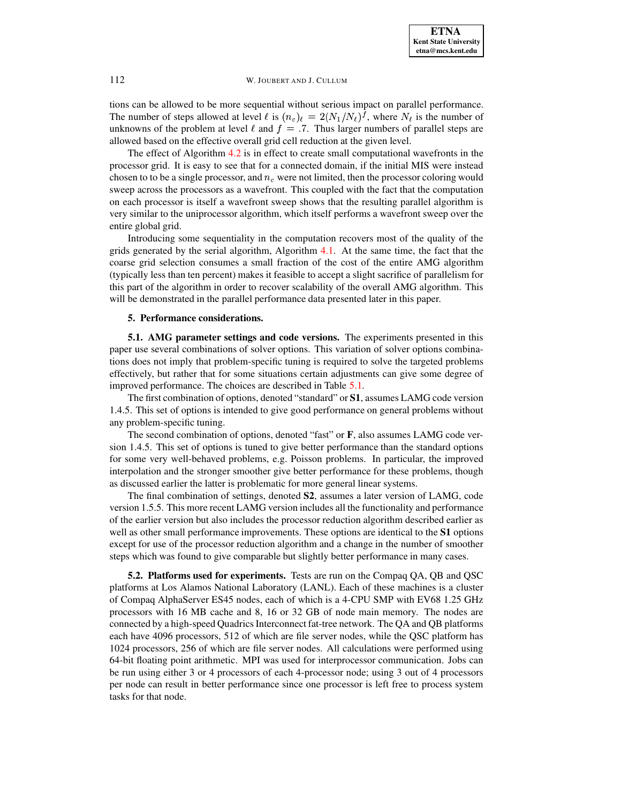tions can be allowed to be more sequential without serious impact on parallel performance. The number of steps allowed at level  $\ell$  is  $(n_c)_\ell = 2(N_1/N_\ell)^f$ , where  $N_\ell$  is the number of unknowns of the problem at level  $\ell$  and  $f = .7$ . Thus larger numbers of parallel steps are allowed based on the effective overall grid cell reduction at the given level.

The effect of Algorithm [4.2](#page-6-0) is in effect to create small computational wavefronts in the processor grid. It is easy to see that for a connected domain, if the initial MIS were instead chosen to to be a single processor, and  $n_c$  were not limited, then the processor coloring would sweep across the processors as a wavefront. This coupled with the fact that the computation on each processor is itself a wavefront sweep shows that the resulting parallel algorithm is very similar to the uniprocessor algorithm, which itself performs a wavefront sweep over the entire global grid.

Introducing some sequentiality in the computation recovers most of the quality of the grids generated by the serial algorithm, Algorithm [4.1.](#page-5-1) At the same time, the fact that the coarse grid selection consumes a small fraction of the cost of the entire AMG algorithm (typically less than ten percent) makes it feasible to accept a slight sacrifice of parallelism for this part of the algorithm in order to recover scalability of the overall AMG algorithm. This will be demonstrated in the parallel performance data presented later in this paper.

## **5. Performance considerations.**

<span id="page-7-0"></span>**5.1. AMG parameter settings and code versions.** The experiments presented in this paper use several combinations of solver options. This variation of solver options combinations does not imply that problem-specific tuning is required to solve the targeted problems effectively, but rather that for some situations certain adjustments can give some degree of improved performance. The choices are described in Table [5.1.](#page-8-0)

The first combination of options, denoted "standard" or **S1**, assumes LAMG code version 1.4.5. This set of options is intended to give good performance on general problems without any problem-specific tuning.

The second combination of options, denoted "fast" or **F**, also assumes LAMG code version 1.4.5. This set of options is tuned to give better performance than the standard options for some very well-behaved problems, e.g. Poisson problems. In particular, the improved interpolation and the stronger smoother give better performance for these problems, though as discussed earlier the latter is problematic for more general linear systems.

The final combination of settings, denoted **S2**, assumes a later version of LAMG, code version 1.5.5. This more recent LAMG version includes all the functionality and performance of the earlier version but also includes the processor reduction algorithm described earlier as well as other small performance improvements. These options are identical to the **S1** options except for use of the processor reduction algorithm and a change in the number of smoother steps which was found to give comparable but slightly better performance in many cases.

**5.2. Platforms used for experiments.** Tests are run on the Compaq QA, QB and QSC platforms at Los Alamos National Laboratory (LANL). Each of these machines is a cluster of Compaq AlphaServer ES45 nodes, each of which is a 4-CPU SMP with EV68 1.25 GHz processors with 16 MB cache and 8, 16 or 32 GB of node main memory. The nodes are connected by a high-speed Quadrics Interconnect fat-tree network. The QA and QB platforms each have 4096 processors, 512 of which are file server nodes, while the QSC platform has 1024 processors, 256 of which are file server nodes. All calculations were performed using 64-bit floating point arithmetic. MPI was used for interprocessor communication. Jobs can be run using either 3 or 4 processors of each 4-processor node; using 3 out of 4 processors per node can result in better performance since one processor is left free to process system tasks for that node.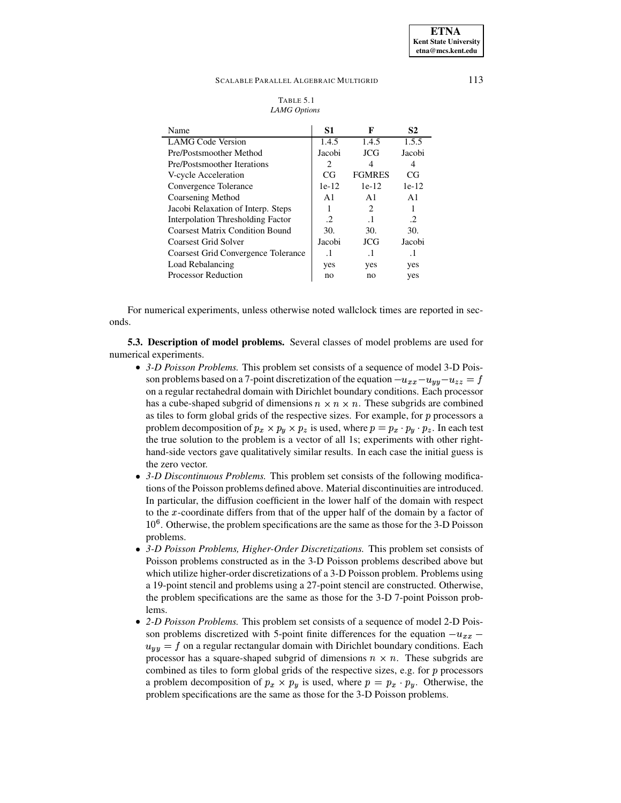#### TABLE 5.1 *LAMG Options*

<span id="page-8-0"></span>

| Name                                     | S1             | F                           | S <sub>2</sub> |
|------------------------------------------|----------------|-----------------------------|----------------|
| <b>LAMG Code Version</b>                 | 1.4.5          | 1.4.5                       | 1.5.5          |
| Pre/Postsmoother Method                  | Jacobi         | JCG                         | Jacobi         |
| Pre/Postsmoother Iterations              | $\mathfrak{D}$ | 4                           | 4              |
| V-cycle Acceleration                     | CG             | <b>FGMRES</b>               | CG             |
| Convergence Tolerance                    | $1e-12$        | $1e-12$                     | $1e-12$        |
| Coarsening Method                        | $\mathbf{A}1$  | A <sub>1</sub>              | $\mathbf{A}1$  |
| Jacobi Relaxation of Interp. Steps       |                | $\mathcal{D}_{\mathcal{L}}$ | ı              |
| <b>Interpolation Thresholding Factor</b> | $\mathcal{D}$  | $\cdot$ 1                   | $\cdot$        |
| <b>Coarsest Matrix Condition Bound</b>   | 30.            | 30.                         | 30.            |
| Coarsest Grid Solver                     | Jacobi         | JCG                         | Jacobi         |
| Coarsest Grid Convergence Tolerance      | $\cdot$ 1      | $\cdot$ 1                   | $\cdot$ 1      |
| Load Rebalancing                         | yes            | yes                         | yes            |
| <b>Processor Reduction</b>               | no             | no                          | yes            |

For numerical experiments, unless otherwise noted wallclock times are reported in seconds.

<span id="page-8-1"></span>**5.3. Description of model problems.** Several classes of model problems are used for numerical experiments.

- *3-D Poisson Problems.* This problem set consists of a sequence of model 3-D Poisson problems based on a 7-point discretization of the equation  $-u_{xx}-u_{yy}-u_{zz}=f$ <sup>j</sup> on a regular rectahedral domain with Dirichlet boundary conditions. Each processor has a cube-shaped subgrid of dimensions  $n \times n \times n$ . These subgrids are combined as tiles to form global grids of the respective sizes. For example, for  $p$  processors a problem decomposition of  $p_x \times p_y \times p_z$  is used, where  $p = p_x \cdot p_y \cdot p_z$ . In each test the true solution to the problem is a vector of all 1s; experiments with other righthand-side vectors gave qualitatively similar results. In each case the initial guess is the zero vector.
- *3-D Discontinuous Problems.* This problem set consists of the following modifications of the Poisson problems defined above. Material discontinuities are introduced. In particular, the diffusion coefficient in the lower half of the domain with respect to the  $x$ -coordinate differs from that of the upper half of the domain by a factor of  $10^6$ . Otherwise, the problem specifications are the same as those for the 3-D Poisson problems.
- *3-D Poisson Problems, Higher-Order Discretizations.* This problem set consists of Poisson problems constructed as in the 3-D Poisson problems described above but which utilize higher-order discretizations of a 3-D Poisson problem. Problems using a 19-point stencil and problems using a 27-point stencil are constructed. Otherwise, the problem specifications are the same as those for the 3-D 7-point Poisson problems.
- *2-D Poisson Problems.* This problem set consists of a sequence of model 2-D Poisson problems discretized with 5-point finite differences for the equation  $-u_{xx}$  –  $u_{yy} = f$  on a regular rectangular domain with Dirichlet boundary conditions. Each processor has a square-shaped subgrid of dimensions  $n \times n$ . These subgrids are combined as tiles to form global grids of the respective sizes, e.g. for  $p$  processors a problem decomposition of  $p_x \times p_y$  is used, where  $p = p_x \cdot p_y$ . Otherwise, the problem specifications are the same as those for the 3-D Poisson problems.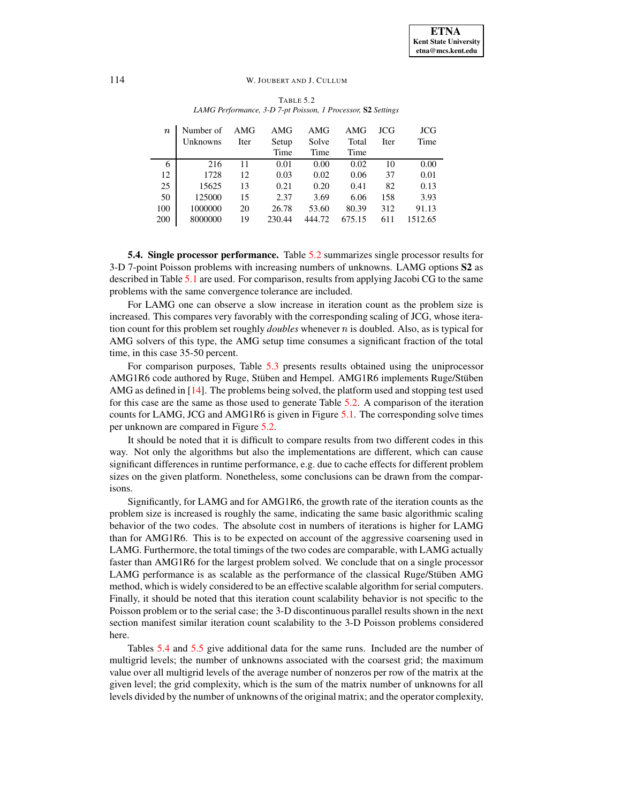<span id="page-9-0"></span>

| $\boldsymbol{n}$ | Number of<br><b>Unknowns</b> | AMG<br>Iter | AMG<br>Setup<br>Time | AMG<br>Solve<br>Time | AMG<br>Total<br>Time | JCG<br>Iter | <b>JCG</b><br>Time |
|------------------|------------------------------|-------------|----------------------|----------------------|----------------------|-------------|--------------------|
| 6                | 216                          | 11          | 0.01                 | 0.00                 | 0.02                 | 10          | 0.00               |
| 12               | 1728                         | 12          | 0.03                 | 0.02                 | 0.06                 | 37          | 0.01               |
| 25               | 15625                        | 13          | 0.21                 | 0.20                 | 0.41                 | 82          | 0.13               |
| 50               | 125000                       | 15          | 2.37                 | 3.69                 | 6.06                 | 158         | 3.93               |
| 100              | 1000000                      | 20          | 26.78                | 53.60                | 80.39                | 312         | 91.13              |
| 200              | 8000000                      | 19          | 230.44               | 444.72               | 675.15               | 611         | 1512.65            |

TABLE 5.2 *LAMG Performance, 3-D 7-pt Poisson, 1 Processor,* **S2** *Settings*

<span id="page-9-1"></span>**5.4. Single processor performance.** Table [5.2](#page-9-0) summarizes single processor results for 3-D 7-point Poisson problems with increasing numbers of unknowns. LAMG options **S2** as described in Table [5.1](#page-8-0) are used. For comparison, results from applying Jacobi CG to the same problems with the same convergence tolerance are included.

For LAMG one can observe a slow increase in iteration count as the problem size is increased. This compares very favorably with the corresponding scaling of JCG, whose iteration count for this problem set roughly *doubles* whenever  $n$  is doubled. Also, as is typical for AMG solvers of this type, the AMG setup time consumes a significant fraction of the total time, in this case 35-50 percent.

For comparison purposes, Table [5.3](#page-10-0) presents results obtained using the uniprocessor AMG1R6 code authored by Ruge, Stüben and Hempel. AMG1R6 implements Ruge/Stüben AMG as defined in [\[14\]](#page-23-4). The problems being solved, the platform used and stopping test used for this case are the same as those used to generate Table [5.2.](#page-9-0) A comparison of the iteration counts for LAMG, JCG and AMG1R6 is given in Figure [5.1.](#page-10-1) The corresponding solve times per unknown are compared in Figure [5.2.](#page-10-2)

It should be noted that it is difficult to compare results from two different codes in this way. Not only the algorithms but also the implementations are different, which can cause significant differences in runtime performance, e.g. due to cache effects for different problem sizes on the given platform. Nonetheless, some conclusions can be drawn from the comparisons.

Significantly, for LAMG and for AMG1R6, the growth rate of the iteration counts as the problem size is increased is roughly the same, indicating the same basic algorithmic scaling behavior of the two codes. The absolute cost in numbers of iterations is higher for LAMG than for AMG1R6. This is to be expected on account of the aggressive coarsening used in LAMG. Furthermore, the total timings of the two codes are comparable, with LAMG actually faster than AMG1R6 for the largest problem solved. We conclude that on a single processor LAMG performance is as scalable as the performance of the classical Ruge/Stüben AMG method, which is widely considered to be an effective scalable algorithm for serial computers. Finally, it should be noted that this iteration count scalability behavior is not specific to the Poisson problem or to the serial case; the 3-D discontinuous parallel results shown in the next section manifest similar iteration count scalability to the 3-D Poisson problems considered here.

Tables [5.4](#page-11-1) and [5.5](#page-11-2) give additional data for the same runs. Included are the number of multigrid levels; the number of unknowns associated with the coarsest grid; the maximum value over all multigrid levels of the average number of nonzeros per row of the matrix at the given level; the grid complexity, which is the sum of the matrix number of unknowns for all levels divided by the number of unknowns of the original matrix; and the operator complexity,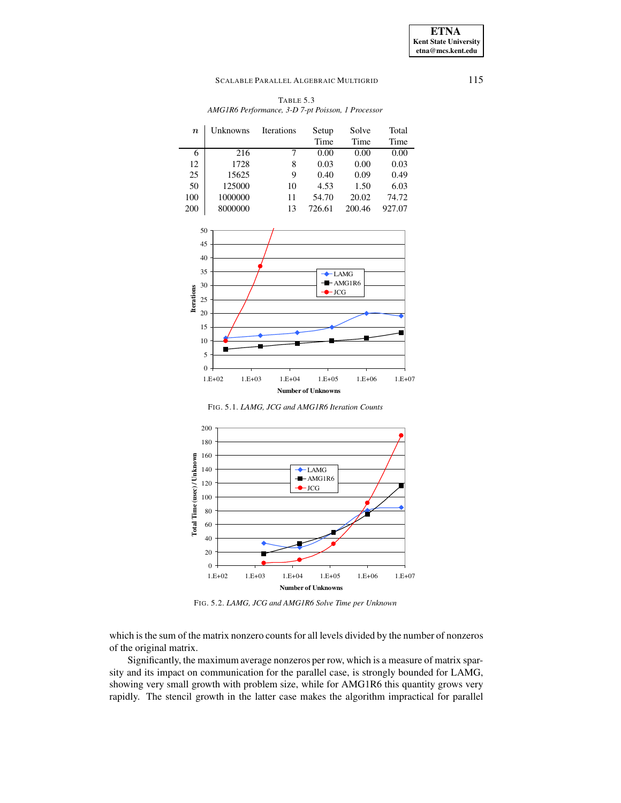| TABLE 5.3                                         |
|---------------------------------------------------|
| AMG1R6 Performance, 3-D 7-pt Poisson, 1 Processor |

<span id="page-10-0"></span>

| $\it n$ | Unknowns | <b>Iterations</b> | Setup  | Solve  | Total  |
|---------|----------|-------------------|--------|--------|--------|
|         |          |                   | Time   | Time   | Time   |
| 6       | 216      | 7                 | 0.00   | 0.00   | 0.00   |
| 12      | 1728     | 8                 | 0.03   | 0.00   | 0.03   |
| 25      | 15625    | 9                 | 0.40   | 0.09   | 0.49   |
| 50      | 125000   | 10                | 4.53   | 1.50   | 6.03   |
| 100     | 1000000  | 11                | 54.70  | 20.02  | 74.72  |
| 200     | 8000000  | 13                | 726.61 | 200.46 | 927.07 |



FIG. 5.1. *LAMG, JCG and AMG1R6 Iteration Counts*

<span id="page-10-1"></span>

<span id="page-10-2"></span>FIG. 5.2. *LAMG, JCG and AMG1R6 Solve Time per Unknown*

which is the sum of the matrix nonzero counts for all levels divided by the number of nonzeros of the original matrix.

Significantly, the maximum average nonzeros per row, which is a measure of matrix sparsity and its impact on communication for the parallel case, is strongly bounded for LAMG, showing very small growth with problem size, while for AMG1R6 this quantity grows very rapidly. The stencil growth in the latter case makes the algorithm impractical for parallel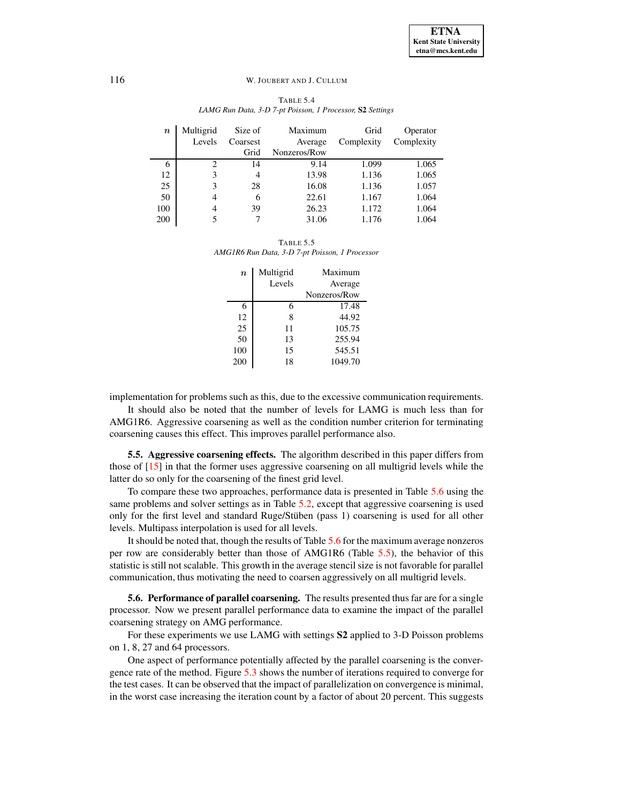| TABLE 5.4                                                 |
|-----------------------------------------------------------|
| LAMG Run Data, 3-D 7-pt Poisson, 1 Processor, S2 Settings |

<span id="page-11-1"></span>

| $\it n$ | Multigrid | Size of        | Maximum      | Grid       | Operator   |
|---------|-----------|----------------|--------------|------------|------------|
|         | Levels    | Coarsest       | Average      | Complexity | Complexity |
|         |           | Grid           | Nonzeros/Row |            |            |
| 6       | 2         | 14             | 9.14         | 1.099      | 1.065      |
| 12      | 3         | $\overline{4}$ | 13.98        | 1.136      | 1.065      |
| 25      | 3         | 28             | 16.08        | 1.136      | 1.057      |
| 50      | 4         | 6              | 22.61        | 1.167      | 1.064      |
| 100     | 4         | 39             | 26.23        | 1.172      | 1.064      |
| 200     | 5         |                | 31.06        | 1.176      | 1.064      |

<span id="page-11-2"></span>TABLE 5.5 *AMG1R6 Run Data, 3-D 7-pt Poisson, 1 Processor*

| $\boldsymbol{n}$ | Multigrid | Maximum      |
|------------------|-----------|--------------|
|                  | Levels    | Average      |
|                  |           | Nonzeros/Row |
| 6                | 6         | 17.48        |
| 12               | 8         | 44.92        |
| 25               | 11        | 105.75       |
| 50               | 13        | 255.94       |
| 100              | 15        | 545.51       |
| 200              | 18        | 1049.70      |

implementation for problems such as this, due to the excessive communication requirements.

It should also be noted that the number of levels for LAMG is much less than for AMG1R6. Aggressive coarsening as well as the condition number criterion for terminating coarsening causes this effect. This improves parallel performance also.

<span id="page-11-0"></span>**5.5. Aggressive coarsening effects.** The algorithm described in this paper differs from those of [\[15\]](#page-23-8) in that the former uses aggressive coarsening on all multigrid levels while the latter do so only for the coarsening of the finest grid level.

To compare these two approaches, performance data is presented in Table [5.6](#page-12-0) using the same problems and solver settings as in Table [5.2,](#page-9-0) except that aggressive coarsening is used only for the first level and standard Ruge/Stüben (pass 1) coarsening is used for all other levels. Multipass interpolation is used for all levels.

It should be noted that, though the results of Table [5.6](#page-12-0) for the maximum average nonzeros per row are considerably better than those of AMG1R6 (Table [5.5\)](#page-11-2), the behavior of this statistic is still not scalable. This growth in the average stencil size is not favorable for parallel communication, thus motivating the need to coarsen aggressively on all multigrid levels.

**5.6. Performance of parallel coarsening.** The results presented thus far are for a single processor. Now we present parallel performance data to examine the impact of the parallel coarsening strategy on AMG performance.

For these experiments we use LAMG with settings **S2** applied to 3-D Poisson problems on 1, 8, 27 and 64 processors.

One aspect of performance potentially affected by the parallel coarsening is the convergence rate of the method. Figure [5.3](#page-12-1) shows the number of iterations required to converge for the test cases. It can be observed that the impact of parallelization on convergence is minimal, in the worst case increasing the iteration count by a factor of about 20 percent. This suggests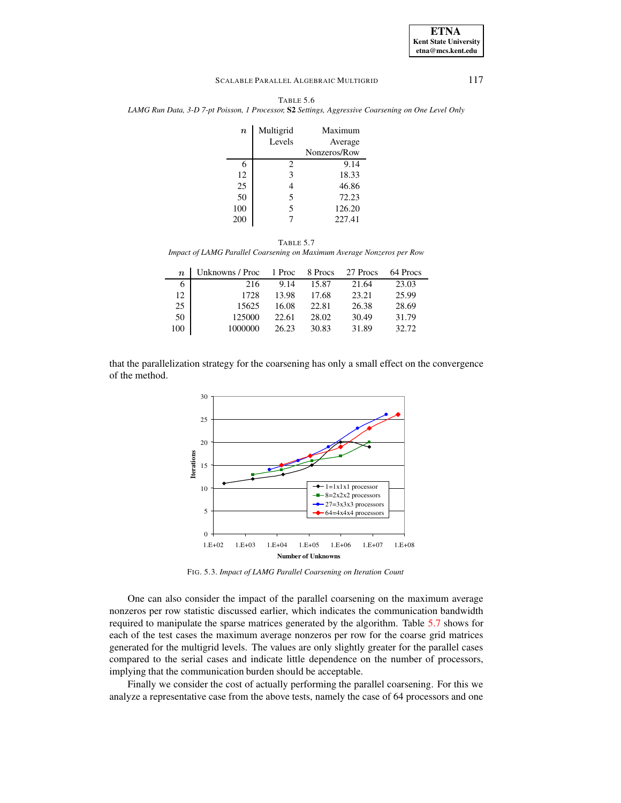| <b>ETNA</b>                  |
|------------------------------|
| <b>Kent State University</b> |
| etna@mcs.kent.edu            |

<span id="page-12-0"></span>TABLE 5.6 *LAMG Run Data, 3-D 7-pt Poisson, 1 Processor,* **S2** *Settings, Aggressive Coarsening on One Level Only*

| $\boldsymbol{n}$ | Multigrid | Maximum      |
|------------------|-----------|--------------|
|                  | Levels    | Average      |
|                  |           | Nonzeros/Row |
| 6                | 2         | 9.14         |
| 12               | 3         | 18.33        |
| 25               |           | 46.86        |
| 50               | 5         | 72.23        |
| 100              | 5         | 126.20       |
| 200              |           | 227.41       |
|                  |           |              |

TABLE 5.7 *Impact of LAMG Parallel Coarsening on Maximum Average Nonzeros per Row*

<span id="page-12-2"></span>

| $\boldsymbol{n}$ | Unknowns / Proc 1 Proc |       | 8 Procs | 27 Procs | 64 Procs |
|------------------|------------------------|-------|---------|----------|----------|
| 6                | 216                    | 9.14  | 15.87   | 21.64    | 23.03    |
| 12               | 1728                   | 13.98 | 17.68   | 23.21    | 25.99    |
| 25               | 15625                  | 16.08 | 22.81   | 26.38    | 28.69    |
| 50               | 125000                 | 22.61 | 28.02   | 30.49    | 31.79    |
| 100              | 1000000                | 26.23 | 30.83   | 31.89    | 32.72    |

that the parallelization strategy for the coarsening has only a small effect on the convergence of the method.



<span id="page-12-1"></span>FIG. 5.3. *Impact of LAMG Parallel Coarsening on Iteration Count*

One can also consider the impact of the parallel coarsening on the maximum average nonzeros per row statistic discussed earlier, which indicates the communication bandwidth required to manipulate the sparse matrices generated by the algorithm. Table [5.7](#page-12-2) shows for each of the test cases the maximum average nonzeros per row for the coarse grid matrices generated for the multigrid levels. The values are only slightly greater for the parallel cases compared to the serial cases and indicate little dependence on the number of processors, implying that the communication burden should be acceptable.

Finally we consider the cost of actually performing the parallel coarsening. For this we analyze a representative case from the above tests, namely the case of 64 processors and one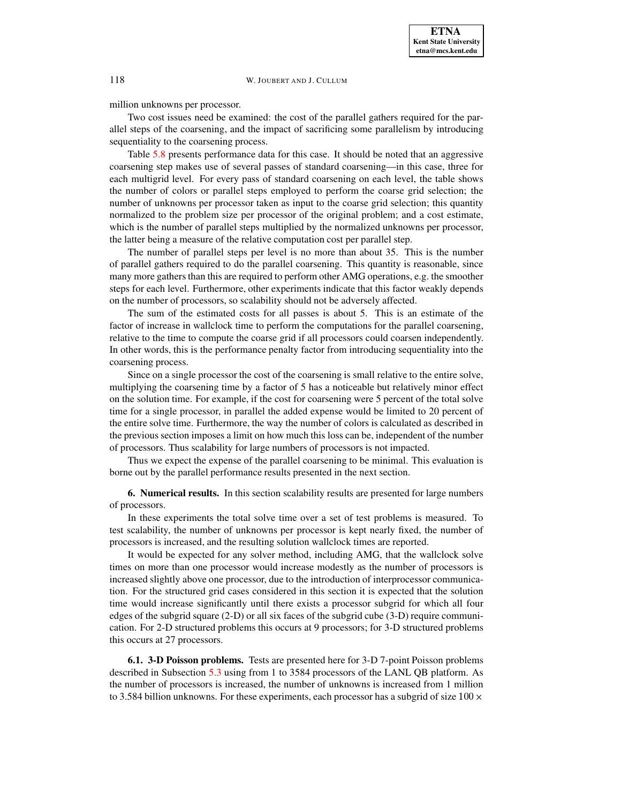million unknowns per processor.

Two cost issues need be examined: the cost of the parallel gathers required for the parallel steps of the coarsening, and the impact of sacrificing some parallelism by introducing sequentiality to the coarsening process.

Table [5.8](#page-14-0) presents performance data for this case. It should be noted that an aggressive coarsening step makes use of several passes of standard coarsening—in this case, three for each multigrid level. For every pass of standard coarsening on each level, the table shows the number of colors or parallel steps employed to perform the coarse grid selection; the number of unknowns per processor taken as input to the coarse grid selection; this quantity normalized to the problem size per processor of the original problem; and a cost estimate, which is the number of parallel steps multiplied by the normalized unknowns per processor, the latter being a measure of the relative computation cost per parallel step.

The number of parallel steps per level is no more than about 35. This is the number of parallel gathers required to do the parallel coarsening. This quantity is reasonable, since many more gathers than this are required to perform other AMG operations, e.g. the smoother steps for each level. Furthermore, other experiments indicate that this factor weakly depends on the number of processors, so scalability should not be adversely affected.

The sum of the estimated costs for all passes is about 5. This is an estimate of the factor of increase in wallclock time to perform the computations for the parallel coarsening, relative to the time to compute the coarse grid if all processors could coarsen independently. In other words, this is the performance penalty factor from introducing sequentiality into the coarsening process.

Since on a single processor the cost of the coarsening is small relative to the entire solve, multiplying the coarsening time by a factor of 5 has a noticeable but relatively minor effect on the solution time. For example, if the cost for coarsening were 5 percent of the total solve time for a single processor, in parallel the added expense would be limited to 20 percent of the entire solve time. Furthermore, the way the number of colors is calculated as described in the previous section imposes a limit on how much this loss can be, independent of the number of processors. Thus scalability for large numbers of processors is not impacted.

Thus we expect the expense of the parallel coarsening to be minimal. This evaluation is borne out by the parallel performance results presented in the next section.

<span id="page-13-0"></span>**6. Numerical results.** In this section scalability results are presented for large numbers of processors.

In these experiments the total solve time over a set of test problems is measured. To test scalability, the number of unknowns per processor is kept nearly fixed, the number of processors is increased, and the resulting solution wallclock times are reported.

It would be expected for any solver method, including AMG, that the wallclock solve times on more than one processor would increase modestly as the number of processors is increased slightly above one processor, due to the introduction of interprocessor communication. For the structured grid cases considered in this section it is expected that the solution time would increase significantly until there exists a processor subgrid for which all four edges of the subgrid square (2-D) or all six faces of the subgrid cube (3-D) require communication. For 2-D structured problems this occurs at 9 processors; for 3-D structured problems this occurs at 27 processors.

**6.1. 3-D Poisson problems.** Tests are presented here for 3-D 7-point Poisson problems described in Subsection [5.3](#page-8-1) using from 1 to 3584 processors of the LANL QB platform. As the number of processors is increased, the number of unknowns is increased from 1 million to 3.584 billion unknowns. For these experiments, each processor has a subgrid of size  $100 \times$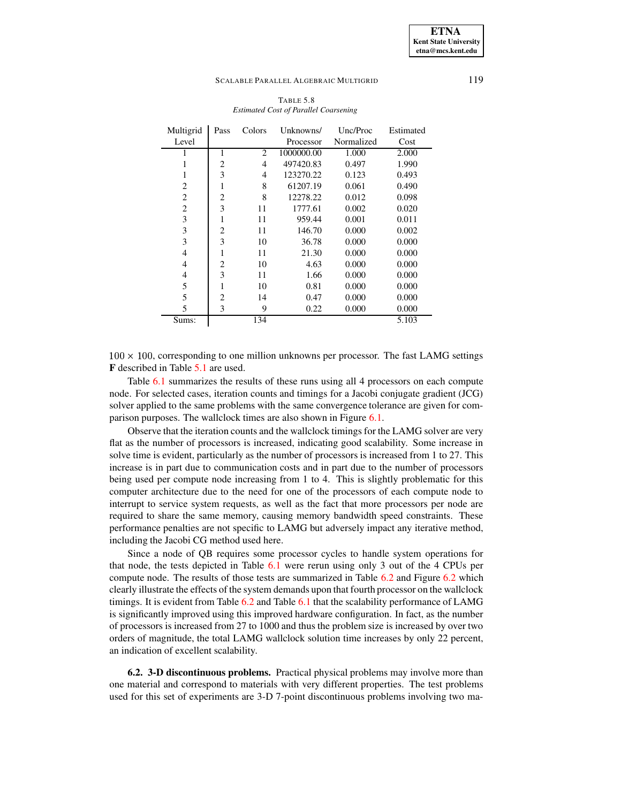| TABLE 5.8                             |  |
|---------------------------------------|--|
| Estimated Cost of Parallel Coarsening |  |

<span id="page-14-0"></span>

| Multigrid      | Pass           | Colors | Unknowns/  | Unc/Proc   | Estimated |
|----------------|----------------|--------|------------|------------|-----------|
| Level          |                |        | Processor  | Normalized | Cost      |
|                | 1              | 2      | 1000000.00 | 1.000      | 2.000     |
|                | 2              | 4      | 497420.83  | 0.497      | 1.990     |
| 1              | 3              | 4      | 123270.22  | 0.123      | 0.493     |
| 2              | 1              | 8      | 61207.19   | 0.061      | 0.490     |
| 2              | $\overline{c}$ | 8      | 12278.22   | 0.012      | 0.098     |
| $\overline{c}$ | 3              | 11     | 1777.61    | 0.002      | 0.020     |
| 3              |                | 11     | 959.44     | 0.001      | 0.011     |
| 3              | $\overline{2}$ | 11     | 146.70     | 0.000      | 0.002     |
| 3              | 3              | 10     | 36.78      | 0.000      | 0.000     |
| 4              | 1              | 11     | 21.30      | 0.000      | 0.000     |
| 4              | 2              | 10     | 4.63       | 0.000      | 0.000     |
| 4              | 3              | 11     | 1.66       | 0.000      | 0.000     |
| 5              | 1              | 10     | 0.81       | 0.000      | 0.000     |
| 5              | $\mathfrak{D}$ | 14     | 0.47       | 0.000      | 0.000     |
| 5              | 3              | 9      | 0.22       | 0.000      | 0.000     |
| Sums:          |                | 134    |            |            | 5.103     |

 $100 \times 100$ , corresponding to one million unknowns per processor. The fast LAMG settings **F** described in Table [5.1](#page-8-0) are used.

Table [6.1](#page-15-0) summarizes the results of these runs using all 4 processors on each compute node. For selected cases, iteration counts and timings for a Jacobi conjugate gradient (JCG) solver applied to the same problems with the same convergence tolerance are given for comparison purposes. The wallclock times are also shown in Figure [6.1.](#page-15-1)

Observe that the iteration counts and the wallclock timings for the LAMG solver are very flat as the number of processors is increased, indicating good scalability. Some increase in solve time is evident, particularly as the number of processors is increased from 1 to 27. This increase is in part due to communication costs and in part due to the number of processors being used per compute node increasing from 1 to 4. This is slightly problematic for this computer architecture due to the need for one of the processors of each compute node to interrupt to service system requests, as well as the fact that more processors per node are required to share the same memory, causing memory bandwidth speed constraints. These performance penalties are not specific to LAMG but adversely impact any iterative method, including the Jacobi CG method used here.

Since a node of QB requires some processor cycles to handle system operations for that node, the tests depicted in Table [6.1](#page-15-0) were rerun using only 3 out of the 4 CPUs per compute node. The results of those tests are summarized in Table [6.2](#page-16-0) and Figure [6.2](#page-16-1) which clearly illustrate the effects of the system demands upon that fourth processor on the wallclock timings. It is evident from Table [6.2](#page-16-0) and Table [6.1](#page-15-0) that the scalability performance of LAMG is significantly improved using this improved hardware configuration. In fact, as the number of processors is increased from 27 to 1000 and thus the problem size is increased by over two orders of magnitude, the total LAMG wallclock solution time increases by only 22 percent, an indication of excellent scalability.

**6.2. 3-D discontinuous problems.** Practical physical problems may involve more than one material and correspond to materials with very different properties. The test problems used for this set of experiments are 3-D 7-point discontinuous problems involving two ma-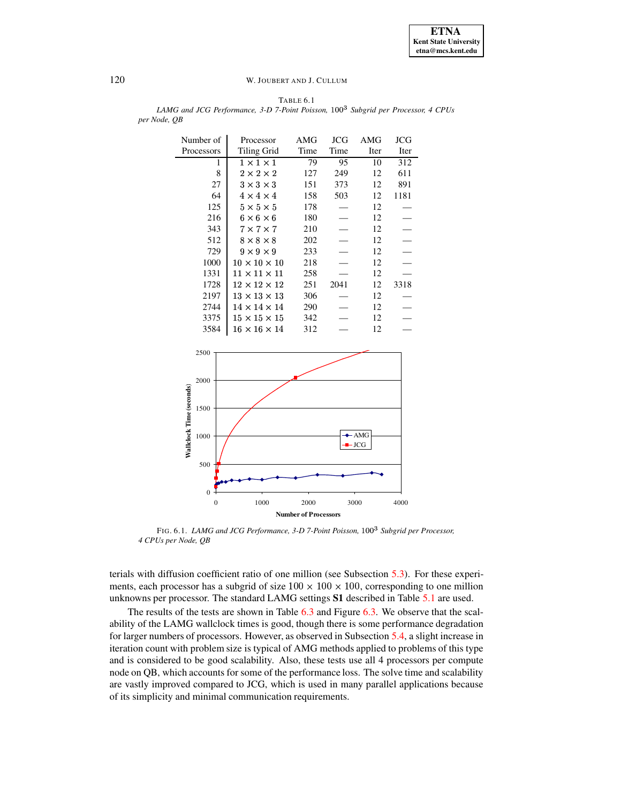<span id="page-15-0"></span>TABLE 6.1 *LAMG and JCG Performance, 3-D 7-Point Poisson,* |~}}e *Subgrid per Processor, 4 CPUs per Node, QB*

| Number of<br>Processors | Processor<br>Tiling Grid | AMG<br>Time | JCG<br>Time | AMG<br>Iter | JCG<br>Iter |
|-------------------------|--------------------------|-------------|-------------|-------------|-------------|
| 1                       | $1 \times 1 \times 1$    | 79          | 95          | 10          | 312         |
| 8                       |                          |             |             |             |             |
|                         | $2 \times 2 \times 2$    | 127         | 249         | 12          | 611         |
| 27                      | $3 \times 3 \times 3$    | 151         | 373         | 12          | 891         |
| 64                      | $4 \times 4 \times 4$    | 158         | 503         | 12          | 1181        |
| 125                     | $5 \times 5 \times 5$    | 178         |             | 12          |             |
| 216                     | $6 \times 6 \times 6$    | 180         |             | 12          |             |
| 343                     | $7 \times 7 \times 7$    | 210         |             | 12          |             |
| 512                     | $8 \times 8 \times 8$    | 202         |             | 12          |             |
| 729                     | $9 \times 9 \times 9$    | 233         |             | 12          |             |
| 1000                    | $10 \times 10 \times 10$ | 218         |             | 12          |             |
| 1331                    | $11 \times 11 \times 11$ | 258         |             | 12          |             |
| 1728                    | $12 \times 12 \times 12$ | 251         | 2041        | 12          | 3318        |
| 2197                    | $13 \times 13 \times 13$ | 306         |             | 12          |             |
| 2744                    | $14 \times 14 \times 14$ | 290         |             | 12          |             |
| 3375                    | $15 \times 15 \times 15$ | 342         |             | 12          |             |
| 3584                    | $16\times16\times14$     | 312         |             | 12          |             |



<span id="page-15-1"></span>FIG. 6.1. *LAMG and JCG Performance, 3-D 7-Point Poisson,* |~}} *Subgrid per Processor, 4 CPUs per Node, QB*

terials with diffusion coefficient ratio of one million (see Subsection [5.3\)](#page-8-1). For these experiments, each processor has a subgrid of size  $100 \times 100 \times 100$ , corresponding to one million unknowns per processor. The standard LAMG settings **S1** described in Table [5.1](#page-8-0) are used.

The results of the tests are shown in Table [6.3](#page-17-0) and Figure [6.3.](#page-17-1) We observe that the scalability of the LAMG wallclock times is good, though there is some performance degradation for larger numbers of processors. However, as observed in Subsection [5.4,](#page-9-1) a slight increase in iteration count with problem size is typical of AMG methods applied to problems of this type and is considered to be good scalability. Also, these tests use all 4 processors per compute node on QB, which accounts for some of the performance loss. The solve time and scalability are vastly improved compared to JCG, which is used in many parallel applications because of its simplicity and minimal communication requirements.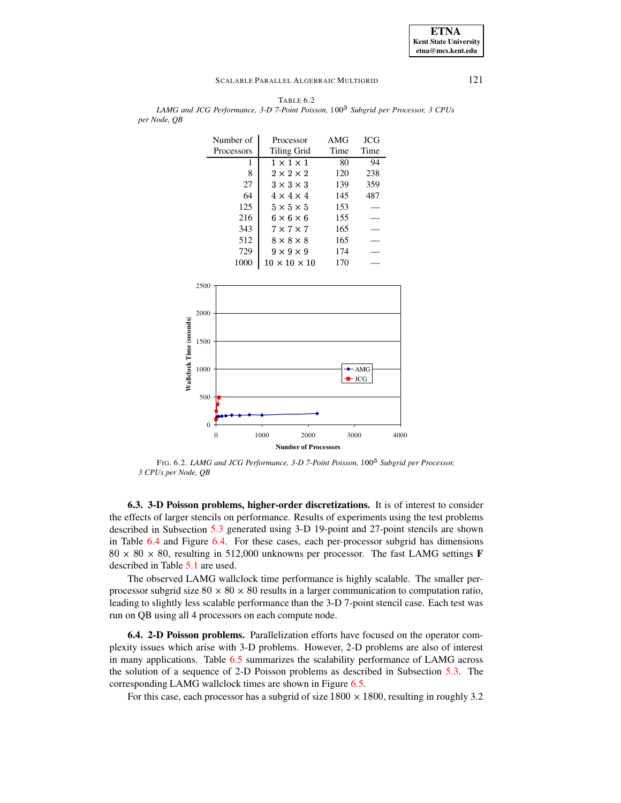

<span id="page-16-0"></span>TABLE 6.2 *LAMG and JCG Performance, 3-D 7-Point Poisson,* |~}}e *Subgrid per Processor, 3 CPUs per Node, QB*

<span id="page-16-1"></span>FIG. 6.2. *LAMG and JCG Performance, 3-D 7-Point Poisson,* |~}} *Subgridper Processor, 3 CPUs per Node, QB*

**6.3. 3-D Poisson problems, higher-order discretizations.** It is of interest to consider the effects of larger stencils on performance. Results of experiments using the test problems described in Subsection [5.3](#page-8-1) generated using 3-D 19-point and 27-point stencils are shown in Table [6.4](#page-18-0) and Figure [6.4.](#page-18-1) For these cases, each per-processor subgrid has dimensions  $80 \times 80 \times 80$ , resulting in 512,000 unknowns per processor. The fast LAMG settings **F** described in Table [5.1](#page-8-0) are used.

The observed LAMG wallclock time performance is highly scalable. The smaller perprocessor subgrid size  $80 \times 80 \times 80$  results in a larger communication to computation ratio, leading to slightly less scalable performance than the 3-D 7-point stencil case. Each test was run on QB using all 4 processors on each compute node.

**6.4. 2-D Poisson problems.** Parallelization efforts have focused on the operator complexity issues which arise with 3-D problems. However, 2-D problems are also of interest in many applications. Table [6.5](#page-19-0) summarizes the scalability performance of LAMG across the solution of a sequence of 2-D Poisson problems as described in Subsection [5.3.](#page-8-1) The corresponding LAMG wallclock times are shown in Figure [6.5.](#page-19-1)

For this case, each processor has a subgrid of size  $1800 \times 1800$ , resulting in roughly 3.2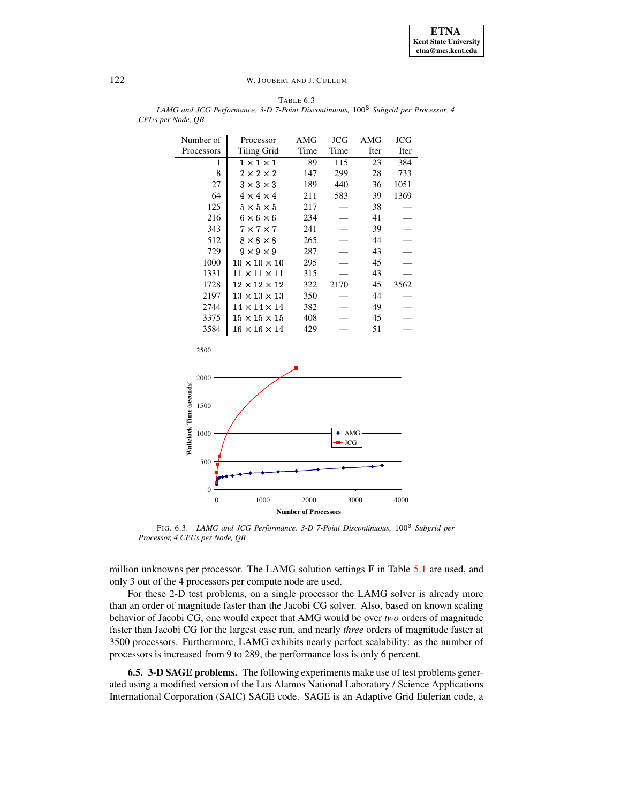**ETNA Kent State University etna@mcs.kent.edu**

# <span id="page-17-0"></span>122 W. JOUBERT AND J. CULLUM

TABLE 6.3 *LAMG and JCG Performance, 3-D 7-Point Discontinuous,* |~}}e *Subgrid per Processor, 4 CPUs per Node, QB*

| Number of  | Processor                | AMG  | JCG  | AMG  | JCG  |
|------------|--------------------------|------|------|------|------|
| Processors | Tiling Grid              | Time | Time | Iter | Iter |
| 1          | $1 \times 1 \times 1$    | 89   | 115  | 23   | 384  |
| 8          | $2 \times 2 \times 2$    | 147  | 299  | 28   | 733  |
| 27         | $3 \times 3 \times 3$    | 189  | 440  | 36   | 1051 |
| 64         | $4 \times 4 \times 4$    | 211  | 583  | 39   | 1369 |
| 125        | $5 \times 5 \times 5$    | 217  |      | 38   |      |
| 216        | $6 \times 6 \times 6$    | 234  |      | 41   |      |
| 343        | $7 \times 7 \times 7$    | 241  |      | 39   |      |
| 512        | $8 \times 8 \times 8$    | 265  |      | 44   |      |
| 729        | $9 \times 9 \times 9$    | 287  |      | 43   |      |
| 1000       | $10 \times 10 \times 10$ | 295  |      | 45   |      |
| 1331       | $11 \times 11 \times 11$ | 315  |      | 43   |      |
| 1728       | $12 \times 12 \times 12$ | 322  | 2170 | 45   | 3562 |
| 2197       | $13 \times 13 \times 13$ | 350  |      | 44   |      |
| 2744       | $14 \times 14 \times 14$ | 382  |      | 49   |      |
| 3375       | $15 \times 15 \times 15$ | 408  |      | 45   |      |
| 3584       | $16 \times 16 \times 14$ | 429  |      | 51   |      |



<span id="page-17-1"></span>FIG. 6.3. *LAMG and JCG Performance, 3-D 7-Point Discontinuous,* |~}} *Subgrid per Processor, 4 CPUs per Node, QB*

million unknowns per processor. The LAMG solution settings **F** in Table [5.1](#page-8-0) are used, and only 3 out of the 4 processors per compute node are used.

For these 2-D test problems, on a single processor the LAMG solver is already more than an order of magnitude faster than the Jacobi CG solver. Also, based on known scaling behavior of Jacobi CG, one would expect that AMG would be over *two* orders of magnitude faster than Jacobi CG for the largest case run, and nearly *three* orders of magnitude faster at 3500 processors. Furthermore, LAMG exhibits nearly perfect scalability: as the number of processors is increased from 9 to 289, the performance loss is only 6 percent.

**6.5. 3-D SAGE problems.** The following experiments make use of test problems generated using a modified version of the Los Alamos National Laboratory / Science Applications International Corporation (SAIC) SAGE code. SAGE is an Adaptive Grid Eulerian code, a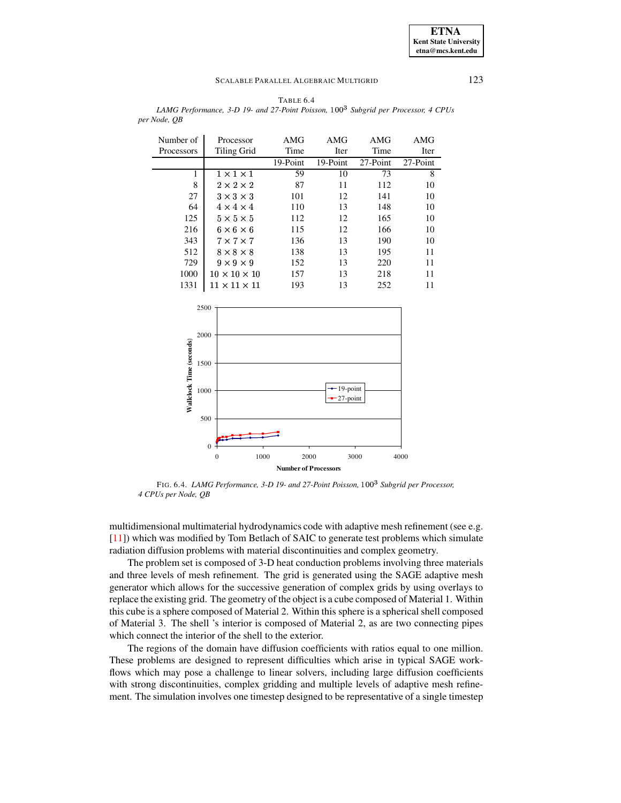TABLE 6.4

<span id="page-18-0"></span>*LAMG Performance, 3-D 19- and 27-Point Poisson,* |~}}e *Subgrid per Processor, 4 CPUs per Node, QB*

| Number of                | Processor                                               | AMG      | <b>AMG</b>                   | AMG      | AMG      |
|--------------------------|---------------------------------------------------------|----------|------------------------------|----------|----------|
| Processors               | <b>Tiling Grid</b>                                      | Time     | Iter                         | Time     | Iter     |
|                          |                                                         | 19-Point | 19-Point                     | 27-Point | 27-Point |
| $\mathbf{1}$             | $1 \times 1 \times 1$                                   | 59       | 10                           | 73       | 8        |
| 8                        | $2 \times 2 \times 2$                                   | 87       | 11                           | 112      | 10       |
| 27                       | $3 \times 3 \times 3$                                   | 101      | 12                           | 141      | 10       |
| 64                       | $4 \times 4 \times 4$                                   | 110      | 13                           | 148      | 10       |
| 125                      | $5 \times 5 \times 5$                                   | 112      | 12                           | 165      | 10       |
| 216                      | $6 \times 6 \times 6$                                   | 115      | 12                           | 166      | 10       |
| 343                      | $7 \times 7 \times 7$                                   | 136      | 13                           | 190      | 10       |
| 512                      | $8 \times 8 \times 8$                                   | 138      | 13                           | 195      | 11       |
| 729                      | $9 \times 9 \times 9$                                   | 152      | 13                           | 220      | 11       |
| 1000                     | $10 \times 10 \times 10$                                | 157      | 13                           | 218      | 11       |
| 1331                     | $11\times11\times11$                                    | 193      | 13                           | 252      | 11       |
| Wallclock Time (seconds) | 2500<br>2000<br>1500<br>1000<br>500<br>$\boldsymbol{0}$ |          | $-19$ -point<br>$-27$ -point |          |          |

<span id="page-18-1"></span>FIG. 6.4. *LAMG Performance, 3-D 19- and 27-Point Poisson,* |~}} *Subgridper Processor, 4 CPUs per Node, QB*

0 1000 2000 3000 4000 **Number of Processors**

multidimensional multimaterial hydrodynamics code with adaptive mesh refinement (see e.g. [\[11\]](#page-23-15)) which was modified by Tom Betlach of SAIC to generate test problems which simulate radiation diffusion problems with material discontinuities and complex geometry.

The problem set is composed of 3-D heat conduction problems involving three materials and three levels of mesh refinement. The grid is generated using the SAGE adaptive mesh generator which allows for the successive generation of complex grids by using overlays to replace the existing grid. The geometry of the object is a cube composed of Material 1. Within this cube is a sphere composed of Material 2. Within this sphere is a spherical shell composed of Material 3. The shell 's interior is composed of Material 2, as are two connecting pipes which connect the interior of the shell to the exterior.

The regions of the domain have diffusion coefficients with ratios equal to one million. These problems are designed to represent difficulties which arise in typical SAGE workflows which may pose a challenge to linear solvers, including large diffusion coefficients with strong discontinuities, complex gridding and multiple levels of adaptive mesh refinement. The simulation involves one timestep designed to be representative of a single timestep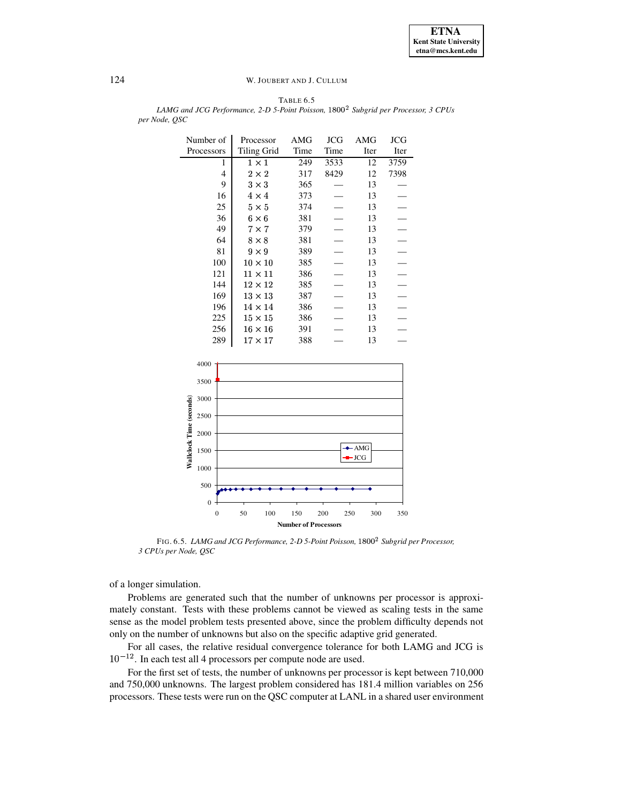**ETNA Kent State University etna@mcs.kent.edu**

## 124 W. JOUBERT AND J. CULLUM

TABLE 6.5 *LAMG and JCG Performance, 2-D 5-Point Poisson,* |~}}n *Subgrid per Processor, 3 CPUs per Node, QSC*

| Number of  | Processor      | AMG  | JCG  | AMG  | JCG  |
|------------|----------------|------|------|------|------|
| Processors | Tiling Grid    | Time | Time | Iter | Iter |
| 1          | $1 \times 1$   | 249  | 3533 | 12   | 3759 |
| 4          | $2 \times 2$   | 317  | 8429 | 12   | 7398 |
| 9          | $3 \times 3$   | 365  |      | 13   |      |
| 16         | $4 \times 4$   | 373  |      | 13   |      |
| 25         | $5 \times 5$   | 374  |      | 13   |      |
| 36         | $6 \times 6$   | 381  |      | 13   |      |
| 49         | $7\times7$     | 379  |      | 13   |      |
| 64         | $8 \times 8$   | 381  |      | 13   |      |
| 81         | $9 \times 9$   | 389  |      | 13   |      |
| 100        | $10 \times 10$ | 385  |      | 13   |      |
| 121        | $11 \times 11$ | 386  |      | 13   |      |
| 144        | $12\times12$   | 385  |      | 13   |      |
| 169        | $13 \times 13$ | 387  |      | 13   |      |
| 196        | $14 \times 14$ | 386  |      | 13   |      |
| 225        | $15 \times 15$ | 386  |      | 13   |      |
| 256        | $16\times16$   | 391  |      | 13   |      |
| 289        | $17\times17$   | 388  |      | 13   |      |



<span id="page-19-1"></span>FIG. 6.5. *LAMG and JCG Performance, 2-D 5-Point Poisson,* |~}} *Subgrid per Processor, 3 CPUs per Node, QSC*

of a longer simulation.

Problems are generated such that the number of unknowns per processor is approximately constant. Tests with these problems cannot be viewed as scaling tests in the same sense as the model problem tests presented above, since the problem difficulty depends not only on the number of unknowns but also on the specific adaptive grid generated.

For all cases, the relative residual convergence tolerance for both LAMG and JCG is  $10^{-12}$ . In each test all 4 processors per compute node are used.

For the first set of tests, the number of unknowns per processor is kept between 710,000 and 750,000 unknowns. The largest problem considered has 181.4 million variables on 256 processors. These tests were run on the QSC computer at LANL in a shared user environment

<span id="page-19-0"></span>

÷.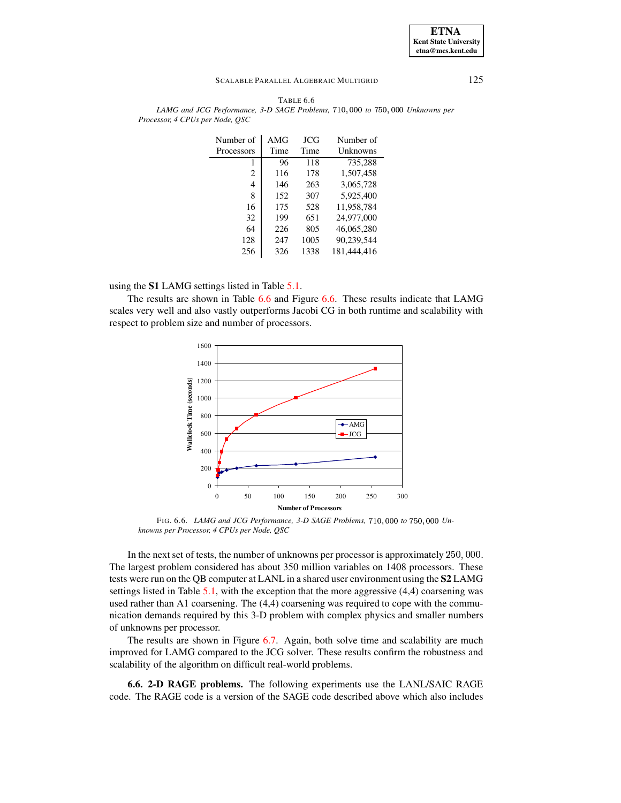### **ETNA Kent State University etna@mcs.kent.edu**

#### SCALABLE PARALLEL ALGEBRAIC MULTIGRID 125

| Number of      | AMG  | JCG  | Number of   |
|----------------|------|------|-------------|
| Processors     | Time | Time | Unknowns    |
| 1              | 96   | 118  | 735,288     |
| $\overline{c}$ | 116  | 178  | 1,507,458   |
| 4              | 146  | 263  | 3,065,728   |
| 8              | 152  | 307  | 5,925,400   |
| 16             | 175  | 528  | 11,958,784  |
| 32             | 199  | 651  | 24,977,000  |
| 64             | 226  | 805  | 46,065,280  |
| 128            | 247  | 1005 | 90,239,544  |
| 256            | 326  | 1338 | 181,444,416 |

<span id="page-20-0"></span>TABLE 6.6 *LAMG* and *JCG* Performance, 3-D SAGE Problems, 710, 000 to 750, 000 Unknowns per *Processor, 4 CPUs per Node, QSC*

using the **S1** LAMG settings listed in Table [5.1.](#page-8-0)

The results are shown in Table [6.6](#page-20-0) and Figure [6.6.](#page-20-1) These results indicate that LAMG scales very well and also vastly outperforms Jacobi CG in both runtime and scalability with respect to problem size and number of processors.



<span id="page-20-1"></span>FIG. 6.6. *LAMG* and *JCG Performance*, 3-D SAGE Problems, 710, 000 to 750, 000 Un*knowns per Processor, 4 CPUs per Node, QSC*

In the next set of tests, the number of unknowns per processor is approximately  $250,000$ . The largest problem considered has about 350 million variables on 1408 processors. These tests were run on the QB computer at LANL in a shared user environment using the **S2** LAMG settings listed in Table  $5.1$ , with the exception that the more aggressive  $(4,4)$  coarsening was used rather than A1 coarsening. The (4,4) coarsening was required to cope with the communication demands required by this 3-D problem with complex physics and smaller numbers of unknowns per processor.

The results are shown in Figure [6.7.](#page-21-0) Again, both solve time and scalability are much improved for LAMG compared to the JCG solver. These results confirm the robustness and scalability of the algorithm on difficult real-world problems.

**6.6. 2-D RAGE problems.** The following experiments use the LANL/SAIC RAGE code. The RAGE code is a version of the SAGE code described above which also includes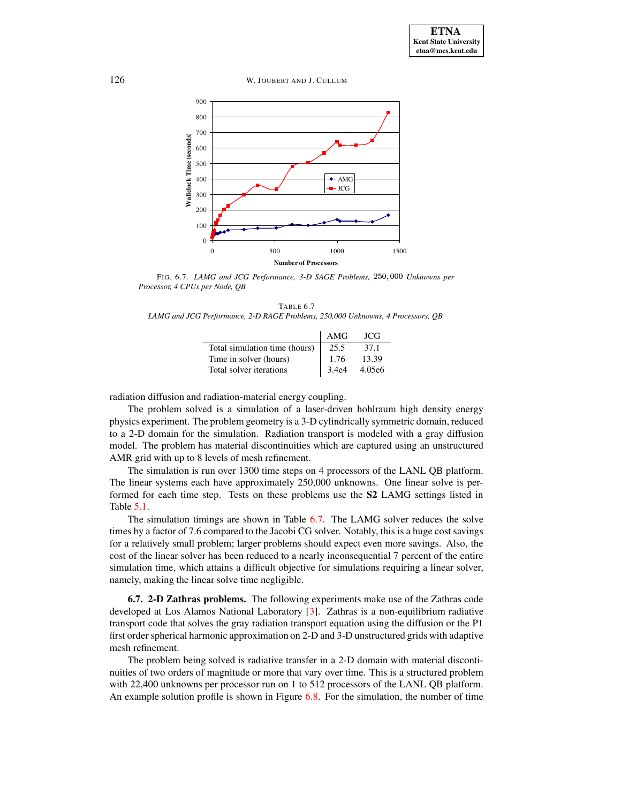126 W. JOUBERT AND J. CULLUM



<span id="page-21-0"></span>FIG. 6.7. *LAMG* and *JCG Performance*, 3-D SAGE Problems, 250,000 Unknowns per *Processor, 4 CPUs per Node, QB*

<span id="page-21-1"></span>TABLE 6.7 *LAMG and JCG Performance, 2-D RAGE Problems, 250,000 Unknowns, 4 Processors, QB*

|                               | AMG   | JCG.   |
|-------------------------------|-------|--------|
| Total simulation time (hours) | 25.5  | 37.1   |
| Time in solver (hours)        | 1.76  | 13.39  |
| Total solver iterations       | 3.4e4 | 4.05e6 |

radiation diffusion and radiation-material energy coupling.

The problem solved is a simulation of a laser-driven hohlraum high density energy physics experiment. The problem geometry is a 3-D cylindrically symmetric domain, reduced to a 2-D domain for the simulation. Radiation transport is modeled with a gray diffusion model. The problem has material discontinuities which are captured using an unstructured AMR grid with up to 8 levels of mesh refinement.

The simulation is run over 1300 time steps on 4 processors of the LANL QB platform. The linear systems each have approximately 250,000 unknowns. One linear solve is performed for each time step. Tests on these problems use the **S2** LAMG settings listed in Table [5.1.](#page-8-0)

The simulation timings are shown in Table [6.7.](#page-21-1) The LAMG solver reduces the solve times by a factor of 7.6 compared to the Jacobi CG solver. Notably, this is a huge cost savings for a relatively small problem; larger problems should expect even more savings. Also, the cost of the linear solver has been reduced to a nearly inconsequential 7 percent of the entire simulation time, which attains a difficult objective for simulations requiring a linear solver, namely, making the linear solve time negligible.

**6.7. 2-D Zathras problems.** The following experiments make use of the Zathras code developed at Los Alamos National Laboratory [\[3\]](#page-23-16). Zathras is a non-equilibrium radiative transport code that solves the gray radiation transport equation using the diffusion or the P1 first order spherical harmonic approximation on 2-D and 3-D unstructured grids with adaptive mesh refinement.

The problem being solved is radiative transfer in a 2-D domain with material discontinuities of two orders of magnitude or more that vary over time. This is a structured problem with 22,400 unknowns per processor run on 1 to 512 processors of the LANL QB platform. An example solution profile is shown in Figure  $6.8$ . For the simulation, the number of time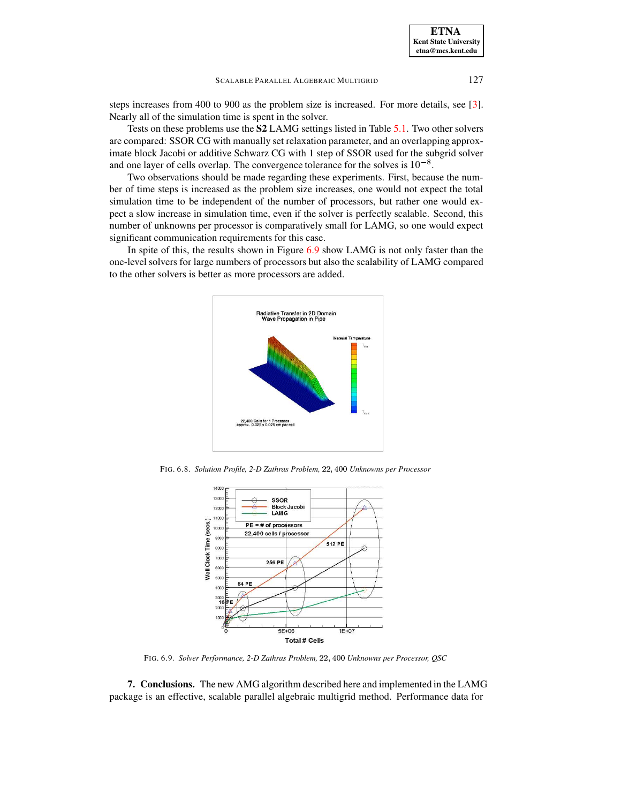steps increases from 400 to 900 as the problem size is increased. For more details, see [\[3\]](#page-23-16). Nearly all of the simulation time is spent in the solver.

Tests on these problems use the **S2** LAMG settings listed in Table [5.1.](#page-8-0) Two other solvers are compared: SSOR CG with manually set relaxation parameter, and an overlapping approximate block Jacobi or additive Schwarz CG with 1 step of SSOR used for the subgrid solver and one layer of cells overlap. The convergence tolerance for the solves is  $10^{-8}$ .

Two observations should be made regarding these experiments. First, because the number of time steps is increased as the problem size increases, one would not expect the total simulation time to be independent of the number of processors, but rather one would expect a slow increase in simulation time, even if the solver is perfectly scalable. Second, this number of unknowns per processor is comparatively small for LAMG, so one would expect significant communication requirements for this case.

In spite of this, the results shown in Figure [6.9](#page-22-1) show LAMG is not only faster than the one-level solvers for large numbers of processors but also the scalability of LAMG compared to the other solvers is better as more processors are added.



<span id="page-22-0"></span>FIG. 6.8. *Solution Profile, 2-D Zathras Problem,* Rf}} *Unknowns per Processor*



FIG. 6.9. *Solver Performance, 2-D Zathras Problem,* Rf}} *Unknowns per Processor, QSC*

<span id="page-22-1"></span>**7. Conclusions.** The new AMG algorithm described here and implemented in the LAMG package is an effective, scalable parallel algebraic multigrid method. Performance data for